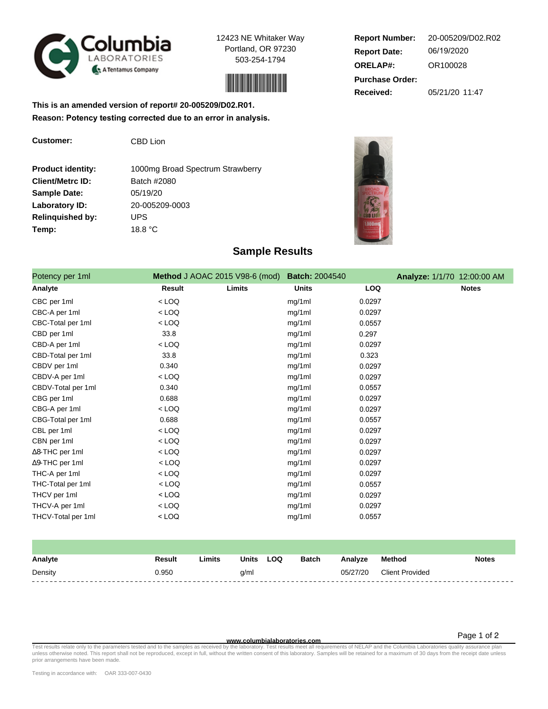

**Customer:** CBD Lion

12423 NE Whitaker Way Portland, OR 97230 503-254-1794



**Report Date: ORELAP#:** 06/19/2020 OR100028 **Received:** 05/21/20 11:47 **Purchase Order: Report Number:** 20-005209/D02.R02

**This is an amended version of report# 20-005209/D02.R01. Reason: Potency testing corrected due to an error in analysis.**

| <b>Product identity:</b> | 1000mg Broad Spectrum Strawberry |
|--------------------------|----------------------------------|
| <b>Client/Metrc ID:</b>  | Batch #2080                      |
| <b>Sample Date:</b>      | 05/19/20                         |
| Laboratory ID:           | 20-005209-0003                   |
| <b>Relinquished by:</b>  | UPS                              |
| Temp:                    | 18.8 °C                          |



## **Sample Results**

| Potency per 1ml        | Method J AOAC 2015 V98-6 (mod) |        | <b>Batch: 2004540</b> |            | Analyze: 1/1/70 12:00:00 AM |              |
|------------------------|--------------------------------|--------|-----------------------|------------|-----------------------------|--------------|
| Analyte                | <b>Result</b>                  | Limits | <b>Units</b>          | <b>LOQ</b> |                             | <b>Notes</b> |
| CBC per 1ml            | $<$ LOQ                        |        | mg/1ml                | 0.0297     |                             |              |
| CBC-A per 1ml          | $<$ LOQ                        |        | mg/1ml                | 0.0297     |                             |              |
| CBC-Total per 1ml      | $<$ LOQ                        |        | mg/1ml                | 0.0557     |                             |              |
| CBD per 1ml            | 33.8                           |        | mg/1ml                | 0.297      |                             |              |
| CBD-A per 1ml          | $<$ LOQ                        |        | mg/1ml                | 0.0297     |                             |              |
| CBD-Total per 1ml      | 33.8                           |        | mg/1ml                | 0.323      |                             |              |
| CBDV per 1ml           | 0.340                          |        | mg/1ml                | 0.0297     |                             |              |
| CBDV-A per 1ml         | $<$ LOQ                        |        | mg/1ml                | 0.0297     |                             |              |
| CBDV-Total per 1ml     | 0.340                          |        | mg/1ml                | 0.0557     |                             |              |
| CBG per 1ml            | 0.688                          |        | mg/1ml                | 0.0297     |                             |              |
| CBG-A per 1ml          | $<$ LOQ                        |        | mg/1ml                | 0.0297     |                             |              |
| CBG-Total per 1ml      | 0.688                          |        | mg/1ml                | 0.0557     |                             |              |
| CBL per 1ml            | $<$ LOQ                        |        | mg/1ml                | 0.0297     |                             |              |
| CBN per 1ml            | $<$ LOQ                        |        | mg/1ml                | 0.0297     |                             |              |
| ∆8-THC per 1ml         | $<$ LOQ                        |        | mg/1ml                | 0.0297     |                             |              |
| $\Delta$ 9-THC per 1ml | $<$ LOQ                        |        | mg/1ml                | 0.0297     |                             |              |
| THC-A per 1ml          | $<$ LOQ                        |        | mg/1ml                | 0.0297     |                             |              |
| THC-Total per 1ml      | $<$ LOQ                        |        | mg/1ml                | 0.0557     |                             |              |
| THCV per 1ml           | $<$ LOQ                        |        | mg/1ml                | 0.0297     |                             |              |
| THCV-A per 1ml         | $<$ LOQ                        |        | mg/1ml                | 0.0297     |                             |              |
| THCV-Total per 1ml     | $<$ LOQ                        |        | mg/1ml                | 0.0557     |                             |              |

| Analyte | Result | Limits | <b>Units</b> | LOQ | <b>Batch</b> | Analyze  | Method                 | <b>Notes</b> |
|---------|--------|--------|--------------|-----|--------------|----------|------------------------|--------------|
| Density | 0.950  |        | q/ml         |     |              | 05/27/20 | <b>Client Provided</b> |              |
|         |        |        |              |     |              |          |                        |              |

Page 1 of 2

Test results relate only to the parameters tested and to the samples as receive**d www.columbialaboratories.com**<br>The languar mequirements of NELAP and the Columbia Laboratory of the Mitter consent of this laboratory. Sample prior arrangements have been made.